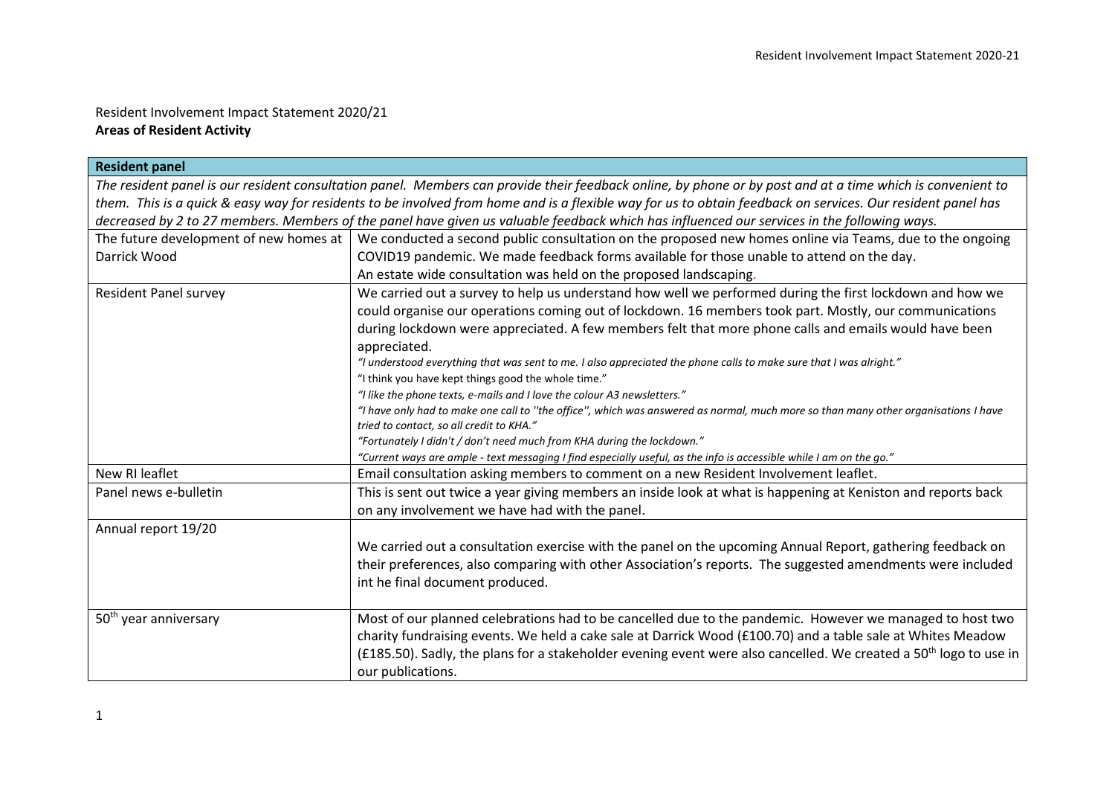## Resident Involvement Impact Statement 2020/21 **Areas of Resident Activity**

| <b>Resident panel</b>                                                                                                                                       |                                                                                                                                                                                |  |
|-------------------------------------------------------------------------------------------------------------------------------------------------------------|--------------------------------------------------------------------------------------------------------------------------------------------------------------------------------|--|
| The resident panel is our resident consultation panel. Members can provide their feedback online, by phone or by post and at a time which is convenient to  |                                                                                                                                                                                |  |
| them. This is a quick & easy way for residents to be involved from home and is a flexible way for us to obtain feedback on services. Our resident panel has |                                                                                                                                                                                |  |
| decreased by 2 to 27 members. Members of the panel have given us valuable feedback which has influenced our services in the following ways.                 |                                                                                                                                                                                |  |
| The future development of new homes at $ $<br>We conducted a second public consultation on the proposed new homes online via Teams, due to the ongoing      |                                                                                                                                                                                |  |
| Darrick Wood                                                                                                                                                | COVID19 pandemic. We made feedback forms available for those unable to attend on the day.                                                                                      |  |
|                                                                                                                                                             | An estate wide consultation was held on the proposed landscaping.                                                                                                              |  |
| <b>Resident Panel survey</b>                                                                                                                                | We carried out a survey to help us understand how well we performed during the first lockdown and how we                                                                       |  |
|                                                                                                                                                             | could organise our operations coming out of lockdown. 16 members took part. Mostly, our communications                                                                         |  |
|                                                                                                                                                             | during lockdown were appreciated. A few members felt that more phone calls and emails would have been                                                                          |  |
|                                                                                                                                                             | appreciated.                                                                                                                                                                   |  |
|                                                                                                                                                             | "I understood everything that was sent to me. I also appreciated the phone calls to make sure that I was alright."                                                             |  |
|                                                                                                                                                             | "I think you have kept things good the whole time."                                                                                                                            |  |
|                                                                                                                                                             | "I like the phone texts, e-mails and I love the colour A3 newsletters."                                                                                                        |  |
|                                                                                                                                                             | "I have only had to make one call to "the office", which was answered as normal, much more so than many other organisations I have<br>tried to contact, so all credit to KHA." |  |
|                                                                                                                                                             | "Fortunately I didn't / don't need much from KHA during the lockdown."                                                                                                         |  |
|                                                                                                                                                             | "Current ways are ample - text messaging I find especially useful, as the info is accessible while I am on the go."                                                            |  |
| New RI leaflet                                                                                                                                              | Email consultation asking members to comment on a new Resident Involvement leaflet.                                                                                            |  |
| Panel news e-bulletin                                                                                                                                       | This is sent out twice a year giving members an inside look at what is happening at Keniston and reports back                                                                  |  |
|                                                                                                                                                             | on any involvement we have had with the panel.                                                                                                                                 |  |
| Annual report 19/20                                                                                                                                         |                                                                                                                                                                                |  |
|                                                                                                                                                             | We carried out a consultation exercise with the panel on the upcoming Annual Report, gathering feedback on                                                                     |  |
|                                                                                                                                                             | their preferences, also comparing with other Association's reports. The suggested amendments were included                                                                     |  |
|                                                                                                                                                             | int he final document produced.                                                                                                                                                |  |
|                                                                                                                                                             |                                                                                                                                                                                |  |
| 50 <sup>th</sup> year anniversary                                                                                                                           | Most of our planned celebrations had to be cancelled due to the pandemic. However we managed to host two                                                                       |  |
|                                                                                                                                                             | charity fundraising events. We held a cake sale at Darrick Wood (£100.70) and a table sale at Whites Meadow                                                                    |  |
|                                                                                                                                                             | (£185.50). Sadly, the plans for a stakeholder evening event were also cancelled. We created a 50 <sup>th</sup> logo to use in                                                  |  |
|                                                                                                                                                             | our publications.                                                                                                                                                              |  |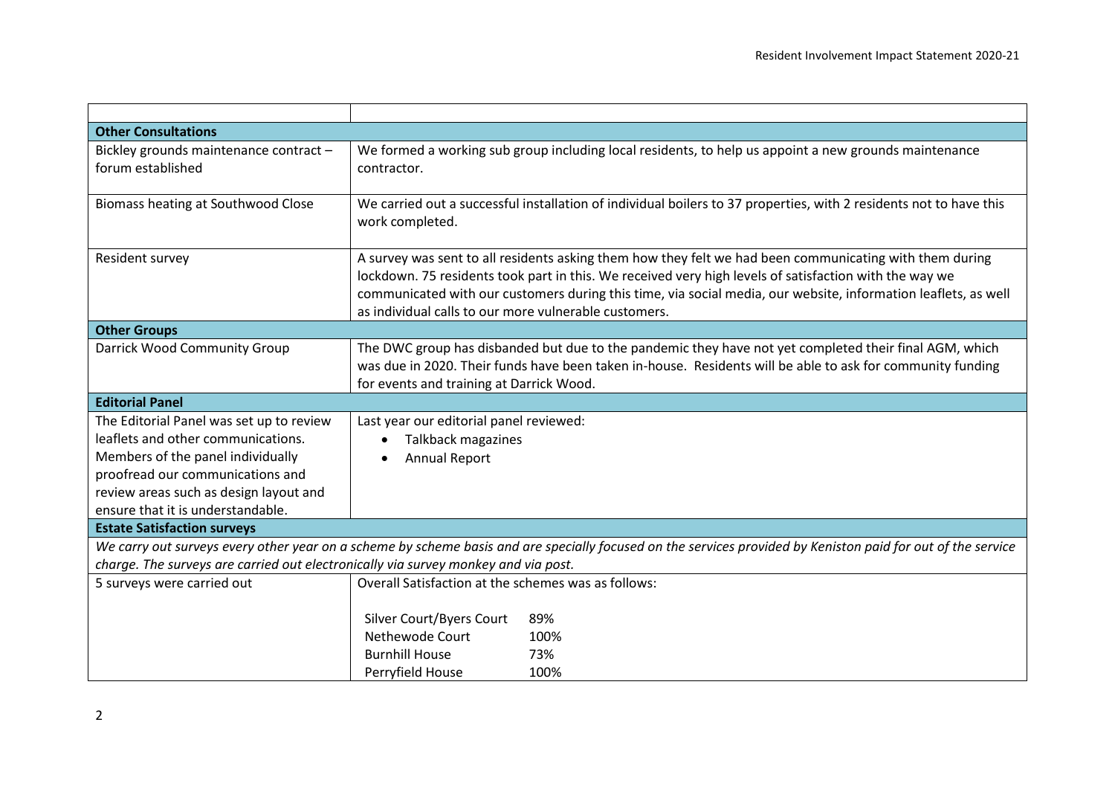| <b>Other Consultations</b>                                                                                                                                                                                                                         |                                                                                                                                                                                                                                                                                                                                                                                              |  |
|----------------------------------------------------------------------------------------------------------------------------------------------------------------------------------------------------------------------------------------------------|----------------------------------------------------------------------------------------------------------------------------------------------------------------------------------------------------------------------------------------------------------------------------------------------------------------------------------------------------------------------------------------------|--|
| Bickley grounds maintenance contract -<br>forum established                                                                                                                                                                                        | We formed a working sub group including local residents, to help us appoint a new grounds maintenance<br>contractor.                                                                                                                                                                                                                                                                         |  |
| Biomass heating at Southwood Close                                                                                                                                                                                                                 | We carried out a successful installation of individual boilers to 37 properties, with 2 residents not to have this<br>work completed.                                                                                                                                                                                                                                                        |  |
| Resident survey                                                                                                                                                                                                                                    | A survey was sent to all residents asking them how they felt we had been communicating with them during<br>lockdown. 75 residents took part in this. We received very high levels of satisfaction with the way we<br>communicated with our customers during this time, via social media, our website, information leaflets, as well<br>as individual calls to our more vulnerable customers. |  |
| <b>Other Groups</b>                                                                                                                                                                                                                                |                                                                                                                                                                                                                                                                                                                                                                                              |  |
| Darrick Wood Community Group                                                                                                                                                                                                                       | The DWC group has disbanded but due to the pandemic they have not yet completed their final AGM, which<br>was due in 2020. Their funds have been taken in-house. Residents will be able to ask for community funding<br>for events and training at Darrick Wood.                                                                                                                             |  |
| <b>Editorial Panel</b>                                                                                                                                                                                                                             |                                                                                                                                                                                                                                                                                                                                                                                              |  |
| The Editorial Panel was set up to review<br>leaflets and other communications.<br>Members of the panel individually<br>proofread our communications and<br>review areas such as design layout and<br>ensure that it is understandable.             | Last year our editorial panel reviewed:<br><b>Talkback magazines</b><br><b>Annual Report</b>                                                                                                                                                                                                                                                                                                 |  |
| <b>Estate Satisfaction surveys</b>                                                                                                                                                                                                                 |                                                                                                                                                                                                                                                                                                                                                                                              |  |
| We carry out surveys every other year on a scheme by scheme basis and are specially focused on the services provided by Keniston paid for out of the service<br>charge. The surveys are carried out electronically via survey monkey and via post. |                                                                                                                                                                                                                                                                                                                                                                                              |  |
| 5 surveys were carried out                                                                                                                                                                                                                         | Overall Satisfaction at the schemes was as follows:                                                                                                                                                                                                                                                                                                                                          |  |
|                                                                                                                                                                                                                                                    | Silver Court/Byers Court<br>89%<br>Nethewode Court<br>100%                                                                                                                                                                                                                                                                                                                                   |  |
|                                                                                                                                                                                                                                                    | <b>Burnhill House</b><br>73%                                                                                                                                                                                                                                                                                                                                                                 |  |
|                                                                                                                                                                                                                                                    | Perryfield House<br>100%                                                                                                                                                                                                                                                                                                                                                                     |  |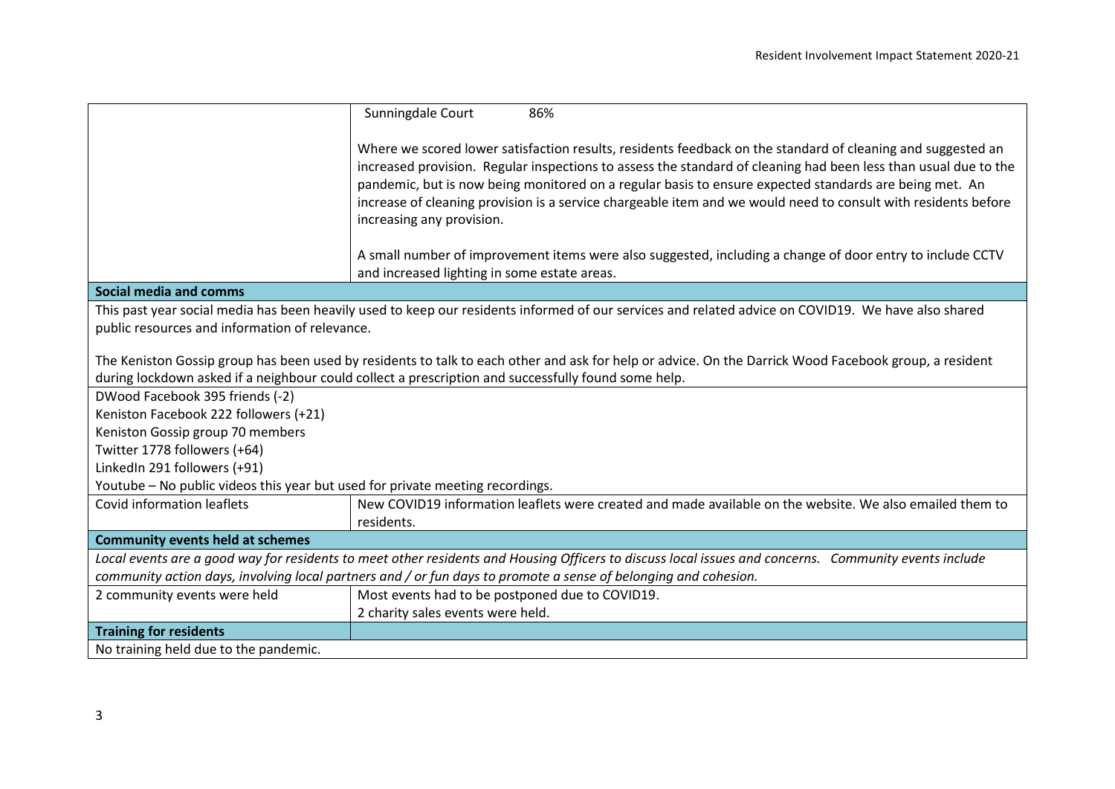|                                                                                                                                                                                                       | Sunningdale Court<br>86%                                                                                                                                                                                                                                                                                                                                                                                                                                                                |  |
|-------------------------------------------------------------------------------------------------------------------------------------------------------------------------------------------------------|-----------------------------------------------------------------------------------------------------------------------------------------------------------------------------------------------------------------------------------------------------------------------------------------------------------------------------------------------------------------------------------------------------------------------------------------------------------------------------------------|--|
|                                                                                                                                                                                                       | Where we scored lower satisfaction results, residents feedback on the standard of cleaning and suggested an<br>increased provision. Regular inspections to assess the standard of cleaning had been less than usual due to the<br>pandemic, but is now being monitored on a regular basis to ensure expected standards are being met. An<br>increase of cleaning provision is a service chargeable item and we would need to consult with residents before<br>increasing any provision. |  |
|                                                                                                                                                                                                       | A small number of improvement items were also suggested, including a change of door entry to include CCTV<br>and increased lighting in some estate areas.                                                                                                                                                                                                                                                                                                                               |  |
| Social media and comms                                                                                                                                                                                |                                                                                                                                                                                                                                                                                                                                                                                                                                                                                         |  |
| This past year social media has been heavily used to keep our residents informed of our services and related advice on COVID19. We have also shared<br>public resources and information of relevance. |                                                                                                                                                                                                                                                                                                                                                                                                                                                                                         |  |
| The Keniston Gossip group has been used by residents to talk to each other and ask for help or advice. On the Darrick Wood Facebook group, a resident                                                 |                                                                                                                                                                                                                                                                                                                                                                                                                                                                                         |  |
| during lockdown asked if a neighbour could collect a prescription and successfully found some help.                                                                                                   |                                                                                                                                                                                                                                                                                                                                                                                                                                                                                         |  |
| DWood Facebook 395 friends (-2)                                                                                                                                                                       |                                                                                                                                                                                                                                                                                                                                                                                                                                                                                         |  |
| Keniston Facebook 222 followers (+21)                                                                                                                                                                 |                                                                                                                                                                                                                                                                                                                                                                                                                                                                                         |  |
| Keniston Gossip group 70 members                                                                                                                                                                      |                                                                                                                                                                                                                                                                                                                                                                                                                                                                                         |  |
| Twitter 1778 followers (+64)                                                                                                                                                                          |                                                                                                                                                                                                                                                                                                                                                                                                                                                                                         |  |
| LinkedIn 291 followers (+91)                                                                                                                                                                          |                                                                                                                                                                                                                                                                                                                                                                                                                                                                                         |  |
| Youtube - No public videos this year but used for private meeting recordings.                                                                                                                         |                                                                                                                                                                                                                                                                                                                                                                                                                                                                                         |  |
| Covid information leaflets                                                                                                                                                                            | New COVID19 information leaflets were created and made available on the website. We also emailed them to<br>residents.                                                                                                                                                                                                                                                                                                                                                                  |  |
| <b>Community events held at schemes</b>                                                                                                                                                               |                                                                                                                                                                                                                                                                                                                                                                                                                                                                                         |  |
| Local events are a good way for residents to meet other residents and Housing Officers to discuss local issues and concerns. Community events include                                                 |                                                                                                                                                                                                                                                                                                                                                                                                                                                                                         |  |
| community action days, involving local partners and / or fun days to promote a sense of belonging and cohesion.                                                                                       |                                                                                                                                                                                                                                                                                                                                                                                                                                                                                         |  |
| 2 community events were held                                                                                                                                                                          | Most events had to be postponed due to COVID19.                                                                                                                                                                                                                                                                                                                                                                                                                                         |  |
|                                                                                                                                                                                                       | 2 charity sales events were held.                                                                                                                                                                                                                                                                                                                                                                                                                                                       |  |
| <b>Training for residents</b>                                                                                                                                                                         |                                                                                                                                                                                                                                                                                                                                                                                                                                                                                         |  |
| No training held due to the pandemic.                                                                                                                                                                 |                                                                                                                                                                                                                                                                                                                                                                                                                                                                                         |  |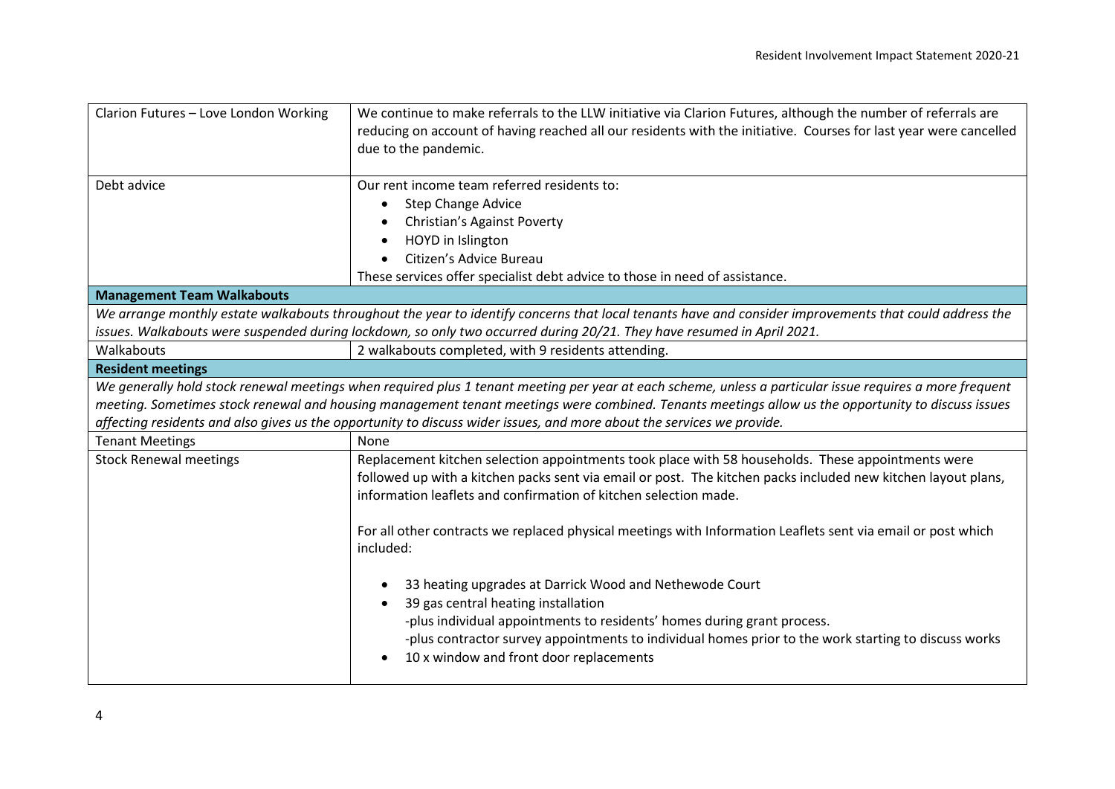| Clarion Futures - Love London Working                                                                                                                                                                                                                                                                                                                                                                                                    | We continue to make referrals to the LLW initiative via Clarion Futures, although the number of referrals are<br>reducing on account of having reached all our residents with the initiative. Courses for last year were cancelled<br>due to the pandemic.                                                                   |  |
|------------------------------------------------------------------------------------------------------------------------------------------------------------------------------------------------------------------------------------------------------------------------------------------------------------------------------------------------------------------------------------------------------------------------------------------|------------------------------------------------------------------------------------------------------------------------------------------------------------------------------------------------------------------------------------------------------------------------------------------------------------------------------|--|
| Debt advice                                                                                                                                                                                                                                                                                                                                                                                                                              | Our rent income team referred residents to:                                                                                                                                                                                                                                                                                  |  |
|                                                                                                                                                                                                                                                                                                                                                                                                                                          | Step Change Advice<br>$\bullet$                                                                                                                                                                                                                                                                                              |  |
|                                                                                                                                                                                                                                                                                                                                                                                                                                          | Christian's Against Poverty                                                                                                                                                                                                                                                                                                  |  |
|                                                                                                                                                                                                                                                                                                                                                                                                                                          | HOYD in Islington                                                                                                                                                                                                                                                                                                            |  |
|                                                                                                                                                                                                                                                                                                                                                                                                                                          | Citizen's Advice Bureau                                                                                                                                                                                                                                                                                                      |  |
|                                                                                                                                                                                                                                                                                                                                                                                                                                          | These services offer specialist debt advice to those in need of assistance.                                                                                                                                                                                                                                                  |  |
| <b>Management Team Walkabouts</b>                                                                                                                                                                                                                                                                                                                                                                                                        |                                                                                                                                                                                                                                                                                                                              |  |
| We arrange monthly estate walkabouts throughout the year to identify concerns that local tenants have and consider improvements that could address the<br>issues. Walkabouts were suspended during lockdown, so only two occurred during 20/21. They have resumed in April 2021.                                                                                                                                                         |                                                                                                                                                                                                                                                                                                                              |  |
| Walkabouts                                                                                                                                                                                                                                                                                                                                                                                                                               | 2 walkabouts completed, with 9 residents attending.                                                                                                                                                                                                                                                                          |  |
| <b>Resident meetings</b>                                                                                                                                                                                                                                                                                                                                                                                                                 |                                                                                                                                                                                                                                                                                                                              |  |
| We generally hold stock renewal meetings when required plus 1 tenant meeting per year at each scheme, unless a particular issue requires a more frequent<br>meeting. Sometimes stock renewal and housing management tenant meetings were combined. Tenants meetings allow us the opportunity to discuss issues<br>affecting residents and also gives us the opportunity to discuss wider issues, and more about the services we provide. |                                                                                                                                                                                                                                                                                                                              |  |
| <b>Tenant Meetings</b>                                                                                                                                                                                                                                                                                                                                                                                                                   | None                                                                                                                                                                                                                                                                                                                         |  |
| <b>Stock Renewal meetings</b>                                                                                                                                                                                                                                                                                                                                                                                                            | Replacement kitchen selection appointments took place with 58 households. These appointments were<br>followed up with a kitchen packs sent via email or post. The kitchen packs included new kitchen layout plans,<br>information leaflets and confirmation of kitchen selection made.                                       |  |
|                                                                                                                                                                                                                                                                                                                                                                                                                                          | For all other contracts we replaced physical meetings with Information Leaflets sent via email or post which<br>included:                                                                                                                                                                                                    |  |
|                                                                                                                                                                                                                                                                                                                                                                                                                                          | 33 heating upgrades at Darrick Wood and Nethewode Court<br>39 gas central heating installation<br>-plus individual appointments to residents' homes during grant process.<br>-plus contractor survey appointments to individual homes prior to the work starting to discuss works<br>10 x window and front door replacements |  |